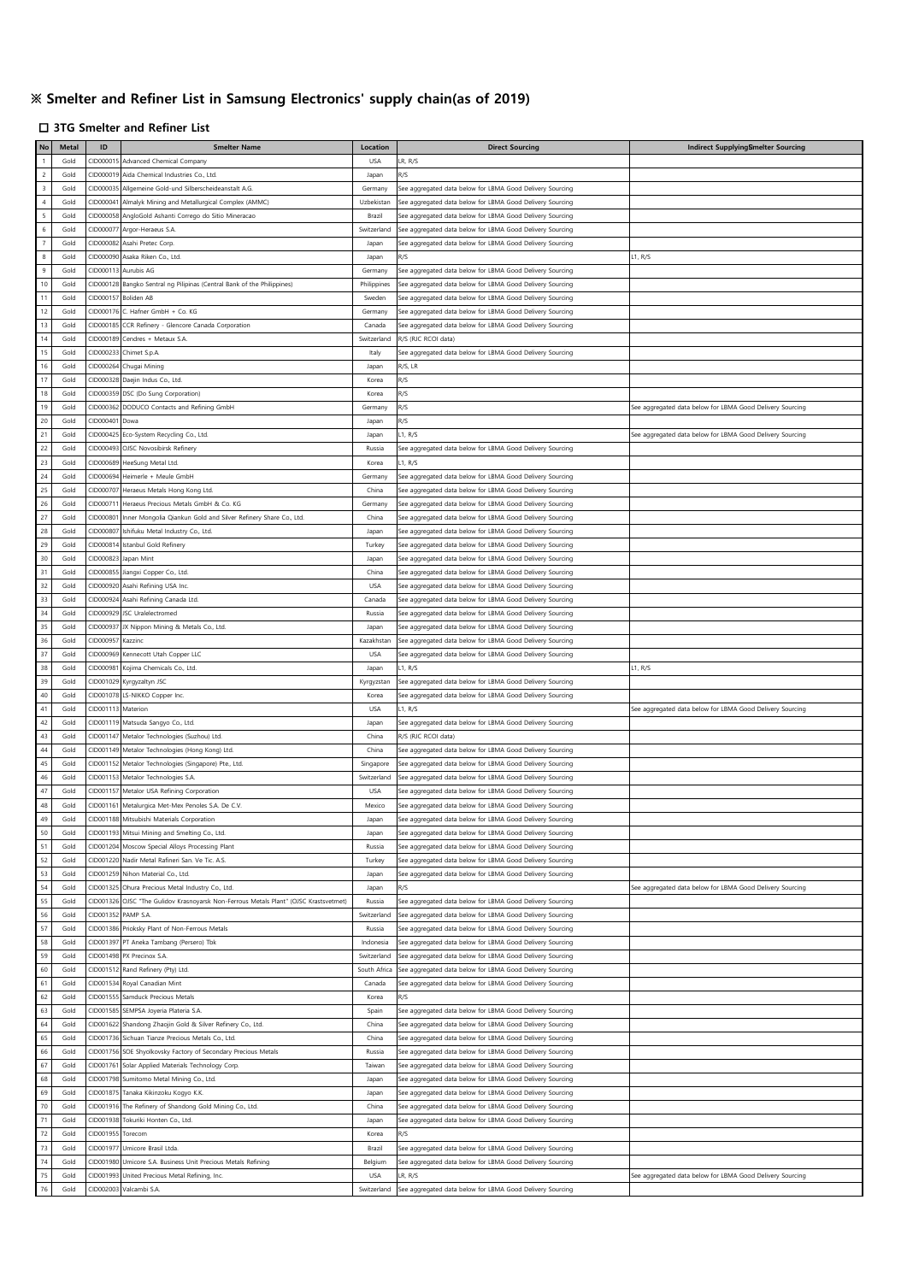## **※ Smelter and Refiner List in Samsung Electronics' supply chain(as of 2019)**

## □ **3TG Smelter and Refiner List**

| No                | <b>Metal</b> | ID        | <b>Smelter Name</b>                                                         | Location     | <b>Direct Sourcing</b>                                    | Indirect SupplyingSmelter Sourcing                        |
|-------------------|--------------|-----------|-----------------------------------------------------------------------------|--------------|-----------------------------------------------------------|-----------------------------------------------------------|
| $\overline{1}$    | Gold         | CID00001  | Advanced Chemical Company                                                   | <b>USA</b>   | LR, R/S                                                   |                                                           |
| $\overline{c}$    | Gold         | CID000019 | Aida Chemical Industries Co., Ltd.                                          | Japan        | R/S                                                       |                                                           |
| $\,$ 3            | Gold         | CID000035 | Allgemeine Gold-und Silberscheideanstalt A.G.                               | Germany      | See aggregated data below for LBMA Good Delivery Sourcing |                                                           |
| $\sqrt{4}$        | Gold         | CID000041 | Almalyk Mining and Metallurgical Complex (AMMC)                             | Uzbekistan   | See aggregated data below for LBMA Good Delivery Sourcing |                                                           |
| $\sqrt{5}$        | Gold         | CID000058 | AngloGold Ashanti Corrego do Sitio Mineracao                                | Brazil       | See aggregated data below for LBMA Good Delivery Sourcing |                                                           |
|                   | Gold         |           |                                                                             | Switzerland  |                                                           |                                                           |
| $\,$ 6 $\,$       |              | CID000077 | Argor-Heraeus S.A.                                                          |              | See aggregated data below for LBMA Good Delivery Sourcing |                                                           |
| $\scriptstyle{7}$ | Gold         | CID000082 | Asahi Pretec Corp                                                           | Japan        | See aggregated data below for LBMA Good Delivery Sourcing |                                                           |
| $\bf8$            | Gold         | CID000090 | Asaka Riken Co., Ltd.                                                       | Japan        | R/S                                                       | L1, R/S                                                   |
| $\boldsymbol{9}$  | Gold         | CID000113 | Aurubis AG                                                                  | Germany      | See aggregated data below for LBMA Good Delivery Sourcing |                                                           |
| $10$              | Gold         | CID000128 | Bangko Sentral ng Pilipinas (Central Bank of the Philippines)               | Philippines  | See aggregated data below for LBMA Good Delivery Sourcing |                                                           |
| $11$              | Gold         | CID000157 | Boliden AB                                                                  | Sweden       | See aggregated data below for LBMA Good Delivery Sourcing |                                                           |
| 12                | Gold         | CID000176 | C. Hafner GmbH + Co. KG                                                     | Germany      | See aggregated data below for LBMA Good Delivery Sourcing |                                                           |
| 13                | Gold         | CID000185 | CCR Refinery - Glencore Canada Corporation                                  | Canada       | See aggregated data below for LBMA Good Delivery Sourcing |                                                           |
| 14                | Gold         | CID000189 | Cendres + Metaux S.A.                                                       | Switzerland  | R/S (RJC RCOI data)                                       |                                                           |
| 15                | Gold         | CID00023  |                                                                             | Italy        |                                                           |                                                           |
|                   |              |           | Chimet S.p.A.                                                               |              | See aggregated data below for LBMA Good Delivery Sourcing |                                                           |
| 16                | Gold         | CID000264 | Chugai Mining                                                               | Japan        | R/S, LR                                                   |                                                           |
| 17                | Gold         | CID000328 | Daejin Indus Co., Ltd.                                                      | Korea        | R/S                                                       |                                                           |
| 18                | Gold         | CID000359 | DSC (Do Sung Corporation)                                                   | Korea        | R/S                                                       |                                                           |
| 19                | Gold         | CID000362 | DODUCO Contacts and Refining GmbH                                           | Germany      | R/S                                                       | See aggregated data below for LBMA Good Delivery Sourcing |
| 20                | Gold         | CID000401 | Dowa                                                                        | Japan        | R/S                                                       |                                                           |
| 21                | Gold         | CID000425 | Eco-System Recycling Co., Ltd.                                              | Japan        | L1, R/S                                                   | See aggregated data below for LBMA Good Delivery Sourcing |
| 22                | Gold         | CID000493 | OJSC Novosibirsk Refinery                                                   | Russia       | See aggregated data below for LBMA Good Delivery Sourcing |                                                           |
| 23                | Gold         | CID000689 | HeeSung Metal Ltd.                                                          | Korea        | L1, R/S                                                   |                                                           |
| 24                | Gold         |           | Heimerle + Meule GmbH                                                       |              |                                                           |                                                           |
|                   |              | CID000694 |                                                                             | Germany      | See aggregated data below for LBMA Good Delivery Sourcing |                                                           |
| 25                | Gold         | CID000707 | Heraeus Metals Hong Kong Ltd.                                               | China        | See aggregated data below for LBMA Good Delivery Sourcing |                                                           |
| 26                | Gold         | CID00071  | Heraeus Precious Metals GmbH & Co. KG                                       | Germany      | See aggregated data below for LBMA Good Delivery Sourcing |                                                           |
| 27                | Gold         | CID00080  | Inner Mongolia Qiankun Gold and Silver Refinery Share Co., Ltd.             | China        | See aggregated data below for LBMA Good Delivery Sourcing |                                                           |
| 28                | Gold         | CID000807 | Ishifuku Metal Industry Co., Ltd.                                           | Japan        | See aggregated data below for LBMA Good Delivery Sourcing |                                                           |
| 29                | Gold         | CID00081  | Istanbul Gold Refinery                                                      | Turkey       | See aggregated data below for LBMA Good Delivery Sourcing |                                                           |
| 30                | Gold         | CID000823 | apan Mint                                                                   | Japan        | See aggregated data below for LBMA Good Delivery Sourcing |                                                           |
| 31                | Gold         | CID000855 | iangxi Copper Co., Ltd.                                                     | China        | See aggregated data below for LBMA Good Delivery Sourcing |                                                           |
| 32                | Gold         | CID000920 | Asahi Refining USA Inc.                                                     | <b>USA</b>   | See aggregated data below for LBMA Good Delivery Sourcing |                                                           |
| 33                |              |           |                                                                             |              |                                                           |                                                           |
|                   | Gold         | CID000924 | Asahi Refining Canada Ltd.                                                  | Canada       | See aggregated data below for LBMA Good Delivery Sourcing |                                                           |
| 34                | Gold         | CID000929 | JSC Uralelectromed                                                          | Russia       | See aggregated data below for LBMA Good Delivery Sourcing |                                                           |
| 35                | Gold         | CID00093  | JX Nippon Mining & Metals Co., Ltd.                                         | Japan        | See aggregated data below for LBMA Good Delivery Sourcing |                                                           |
| 36                | Gold         | CID000957 | Kazzinc                                                                     | Kazakhstar   | See aggregated data below for LBMA Good Delivery Sourcing |                                                           |
| $37\,$            | Gold         | CID000969 | Kennecott Utah Copper LLC                                                   | <b>USA</b>   | See aggregated data below for LBMA Good Delivery Sourcing |                                                           |
| 38                | Gold         | CID000981 | Kojima Chemicals Co., Ltd.                                                  | Japan        | L1, R/S                                                   | L1, R/S                                                   |
| 39                | Gold         | CID001029 | Kyrgyzaltyn JSC                                                             | Kyrgyzstan   | See aggregated data below for LBMA Good Delivery Sourcing |                                                           |
| $40\,$            | Gold         | CID001078 | LS-NIKKO Copper Inc.                                                        | Korea        | See aggregated data below for LBMA Good Delivery Sourcing |                                                           |
| $41\,$            | Gold         | CID001113 | Materion                                                                    | <b>USA</b>   | L1, R/S                                                   | See aggregated data below for LBMA Good Delivery Sourcing |
| 42                | Gold         | CID001119 | Matsuda Sangyo Co., Ltd.                                                    | Japan        | See aggregated data below for LBMA Good Delivery Sourcing |                                                           |
| 43                |              |           |                                                                             |              |                                                           |                                                           |
|                   | Gold         | CID001147 | Metalor Technologies (Suzhou) Ltd.                                          | China        | R/S (RJC RCOI data)                                       |                                                           |
| $44$              | Gold         | CID001149 | Metalor Technologies (Hong Kong) Ltd.                                       | China        | See aggregated data below for LBMA Good Delivery Sourcing |                                                           |
| 45                | Gold         | CID001152 | Metalor Technologies (Singapore) Pte., Ltd.                                 | Singapore    | See aggregated data below for LBMA Good Delivery Sourcing |                                                           |
| $\sqrt{46}$       | Gold         | CID001153 | Metalor Technologies S.A.                                                   | Switzerland  | See aggregated data below for LBMA Good Delivery Sourcing |                                                           |
| 47                | Gold         | CID001157 | Metalor USA Refining Corporation                                            | USA          | See aggregated data below for LBMA Good Delivery Sourcing |                                                           |
| 48                | Gold         | CID001161 | Metalurgica Met-Mex Penoles S.A. De C.V.                                    | Mexico       | See aggregated data below for LBMA Good Delivery Sourcing |                                                           |
| 49                | Gold         |           | CID001188 Mitsubishi Materials Corporation                                  | Japan        | See aggregated data below for LBMA Good Delivery Sourcing |                                                           |
| 50                | Gold         |           | CID001193 Mitsui Mining and Smelting Co., Ltd.                              | Japan        | See aggregated data below for LBMA Good Delivery Sourcing |                                                           |
| 51                | Gold         | CID001204 | Moscow Special Alloys Processing Plant                                      | Russia       | See aggregated data below for LBMA Good Delivery Sourcing |                                                           |
|                   | Gold         |           |                                                                             |              |                                                           |                                                           |
| 52                |              | CID001220 | Nadir Metal Rafineri San. Ve Tic. A.S.                                      | Turkey       | See aggregated data below for LBMA Good Delivery Sourcing |                                                           |
| 53                | Gold         |           | CID001259 Nihon Material Co., Ltd.                                          | Japan        | See aggregated data below for LBMA Good Delivery Sourcing |                                                           |
| 54                | Gold         | CID001325 | Ohura Precious Metal Industry Co., Ltd.                                     | Japan        | R/S                                                       | See aggregated data below for LBMA Good Delivery Sourcing |
| 55                | Gold         | CID001326 | OJSC "The Gulidov Krasnoyarsk Non-Ferrous Metals Plant" (OJSC Krastsvetmet) | Russia       | See aggregated data below for LBMA Good Delivery Sourcing |                                                           |
| 56                | Gold         | CID001352 | PAMP S.A.                                                                   | Switzerland  | See aggregated data below for LBMA Good Delivery Sourcing |                                                           |
| 57                | Gold         | CID001386 | Prioksky Plant of Non-Ferrous Metals                                        | Russia       | See aggregated data below for LBMA Good Delivery Sourcing |                                                           |
| 58                | Gold         | CID001397 | PT Aneka Tambang (Persero) Tbk                                              | Indonesia    | See aggregated data below for LBMA Good Delivery Sourcing |                                                           |
| 59                | Gold         | CID001498 | PX Precinox S.A.                                                            | Switzerland  | See aggregated data below for LBMA Good Delivery Sourcing |                                                           |
| 60                | Gold         | CID001512 | Rand Refinery (Pty) Ltd.                                                    | South Africa | See aggregated data below for LBMA Good Delivery Sourcing |                                                           |
| 61                |              |           | Royal Canadian Mint                                                         |              |                                                           |                                                           |
|                   | Gold         | CID001534 |                                                                             | Canada       | See aggregated data below for LBMA Good Delivery Sourcing |                                                           |
| 62                | Gold         | CID001555 | Samduck Precious Metals                                                     | Korea        | R/S                                                       |                                                           |
| 63                | Gold         | CID001585 | SEMPSA Joyeria Plateria S.A.                                                | Spain        | See aggregated data below for LBMA Good Delivery Sourcing |                                                           |
| 64                | Gold         |           | CID001622 Shandong Zhaojin Gold & Silver Refinery Co., Ltd.                 | China        | See aggregated data below for LBMA Good Delivery Sourcing |                                                           |
| 65                | Gold         |           | CID001736 Sichuan Tianze Precious Metals Co., Ltd.                          | China        | See aggregated data below for LBMA Good Delivery Sourcing |                                                           |
| 66                | Gold         | CID001756 | SOE Shyolkovsky Factory of Secondary Precious Metals                        | Russia       | See aggregated data below for LBMA Good Delivery Sourcing |                                                           |
| 67                | Gold         | CID001761 | Solar Applied Materials Technology Corp.                                    | Taiwan       | See aggregated data below for LBMA Good Delivery Sourcing |                                                           |
| 68                | Gold         |           | CID001798 Sumitomo Metal Mining Co., Ltd.                                   | Japan        | See aggregated data below for LBMA Good Delivery Sourcing |                                                           |
| 69                | Gold         | CID001875 |                                                                             |              |                                                           |                                                           |
|                   |              |           | Tanaka Kikinzoku Kogyo K.K.                                                 | Japan        | See aggregated data below for LBMA Good Delivery Sourcing |                                                           |
| $70$              | Gold         | CID001916 | The Refinery of Shandong Gold Mining Co., Ltd.                              | China        | See aggregated data below for LBMA Good Delivery Sourcing |                                                           |
| $71\,$            | Gold         | CID001938 | Tokuriki Honten Co., Ltd.                                                   | Japan        | See aggregated data below for LBMA Good Delivery Sourcing |                                                           |
| 72                | Gold         | CID001955 | Torecom                                                                     | Korea        |                                                           |                                                           |
| 73                | Gold         | CID001977 | Umicore Brasil Ltda.                                                        | Brazil       | See aggregated data below for LBMA Good Delivery Sourcing |                                                           |
| $74$              | Gold         | CID001980 | Umicore S.A. Business Unit Precious Metals Refining                         | Belgium      | See aggregated data below for LBMA Good Delivery Sourcing |                                                           |
| 75                | Gold         | CID001993 | United Precious Metal Refining, Inc.                                        | <b>USA</b>   | LR, R/S                                                   | See aggregated data below for LBMA Good Delivery Sourcing |
| 76                | Gold         |           | CID002003 Valcambi S.A.                                                     | Switzerland  | See aggregated data below for LBMA Good Delivery Sourcing |                                                           |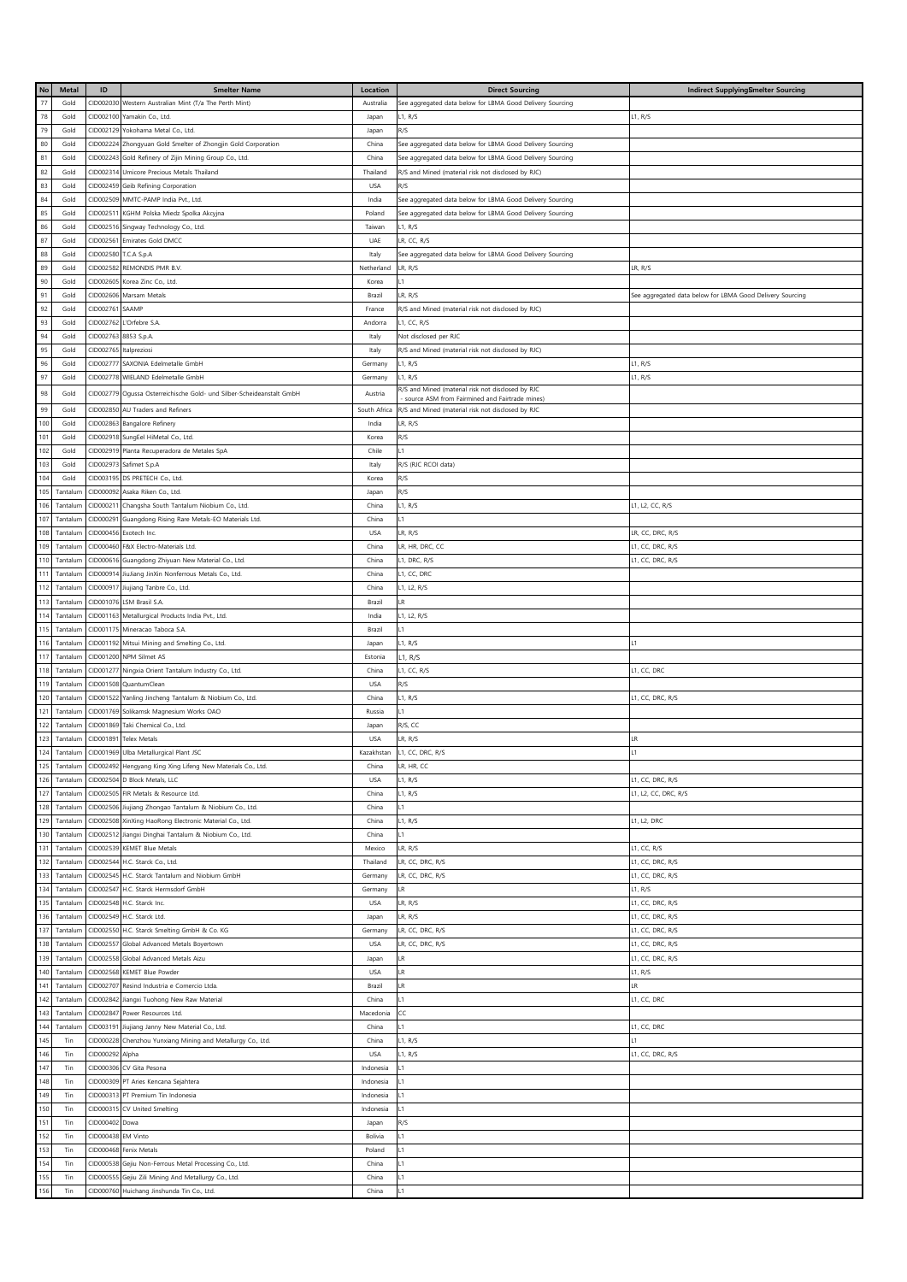| No  | <b>Metal</b> | ID                     | <b>Smelter Name</b>                                                   | Location     | <b>Direct Sourcing</b>                                    | Indirect SupplyingSmelter Sourcing                        |
|-----|--------------|------------------------|-----------------------------------------------------------------------|--------------|-----------------------------------------------------------|-----------------------------------------------------------|
| 77  | Gold         |                        | CID002030 Western Australian Mint (T/a The Perth Mint)                | Australia    | See aggregated data below for LBMA Good Delivery Sourcing |                                                           |
| 78  | Gold         |                        | CID002100 Yamakin Co., Ltd.                                           | Japan        | L1, R/S                                                   | L1, R/S                                                   |
| 79  | Gold         |                        | CID002129 Yokohama Metal Co., Ltd.                                    | Japan        | R/S                                                       |                                                           |
| 80  | Gold         |                        | CID002224 Zhongyuan Gold Smelter of Zhongjin Gold Corporation         | China        | See aggregated data below for LBMA Good Delivery Sourcing |                                                           |
| 81  | Gold         |                        | CID002243 Gold Refinery of Zijin Mining Group Co., Ltd.               | China        | See aggregated data below for LBMA Good Delivery Sourcing |                                                           |
| 82  | Gold         | CID002314              | Umicore Precious Metals Thailand                                      | Thailand     | R/S and Mined (material risk not disclosed by RJC)        |                                                           |
| 83  | Gold         |                        | CID002459 Geib Refining Corporation                                   | <b>USA</b>   | R/S                                                       |                                                           |
| 84  | Gold         |                        | CID002509 MMTC-PAMP India Pvt., Ltd.                                  | India        | See aggregated data below for LBMA Good Delivery Sourcing |                                                           |
| 85  | Gold         | CID002511              | KGHM Polska Miedz Spolka Akcyjna                                      | Poland       | See aggregated data below for LBMA Good Delivery Sourcing |                                                           |
| 86  | Gold         |                        | CID002516 Singway Technology Co., Ltd.                                | Taiwan       | L1, R/S                                                   |                                                           |
| 87  | Gold         |                        | CID002561 Emirates Gold DMCC                                          | UAE          | LR, CC, R/S                                               |                                                           |
| 88  | Gold         |                        | CID002580 T.C.A S.p.A                                                 | Italy        | See aggregated data below for LBMA Good Delivery Sourcing |                                                           |
| 89  | Gold         |                        | CID002582 REMONDIS PMR B.V.                                           | Netherland   | LR, R/S                                                   | LR, R/S                                                   |
| 90  | Gold         |                        | CID002605 Korea Zinc Co., Ltd.                                        | Korea        | L1                                                        |                                                           |
| 91  | Gold         |                        | CID002606 Marsam Metals                                               | Brazil       | LR, R/S                                                   | See aggregated data below for LBMA Good Delivery Sourcing |
| 92  | Gold         | CID002761 SAAMP        |                                                                       | France       | R/S and Mined (material risk not disclosed by RJC)        |                                                           |
| 93  | Gold         |                        | CID002762 L'Orfebre S.A.                                              | Andorra      | L1, CC, R/S                                               |                                                           |
| 94  | Gold         | CID002763 8853 S.p.A.  |                                                                       | Italy        | Not disclosed per RJC                                     |                                                           |
| 95  | Gold         | CID002765 Italpreziosi |                                                                       | Italy        | R/S and Mined (material risk not disclosed by RJC)        |                                                           |
| 96  | Gold         | CID002777              | SAXONIA Edelmetalle GmbH                                              | Germany      | L1, R/S                                                   | L1, R/S                                                   |
| 97  | Gold         |                        | CID002778 WIELAND Edelmetalle GmbH                                    | Germany      | L1, R/S                                                   | L1, R/S                                                   |
|     |              |                        |                                                                       |              | R/S and Mined (material risk not disclosed by RJC         |                                                           |
| 98  | Gold         |                        | CID002779 Ogussa Osterreichische Gold- und Silber-Scheideanstalt GmbH | Austria      | source ASM from Fairmined and Fairtrade mines)            |                                                           |
| 99  | Gold         |                        | CID002850 AU Traders and Refiners                                     | South Africa | R/S and Mined (material risk not disclosed by RJC         |                                                           |
| 100 | Gold         |                        | CID002863 Bangalore Refinery                                          | India        | LR, R/S                                                   |                                                           |
| 101 | Gold         |                        | CID002918 SungEel HiMetal Co., Ltd.                                   | Korea        | R/S                                                       |                                                           |
| 102 | Gold         |                        | CID002919 Planta Recuperadora de Metales SpA                          | Chile        | L1                                                        |                                                           |
| 103 | Gold         |                        | CID002973 Safimet S.p.A                                               | Italy        | R/S (RJC RCOI data)                                       |                                                           |
| 104 | Gold         |                        | CID003195 DS PRETECH Co., Ltd.                                        | Korea        | R/S                                                       |                                                           |
| 105 | Tantalun     |                        | CID000092 Asaka Riken Co., Ltd.                                       | Japan        | R/S                                                       |                                                           |
| 106 | Tantalun     |                        | CID000211 Changsha South Tantalum Niobium Co., Ltd.                   | China        | L1, R/S                                                   | L1, L2, CC, R/S                                           |
| 107 | Tantalun     | CID000291              | Guangdong Rising Rare Metals-EO Materials Ltd.                        | China        | L1                                                        |                                                           |
| 108 | Tantalun     |                        | CID000456 Exotech Inc.                                                | <b>USA</b>   | LR, R/S                                                   | LR, CC, DRC, R/S                                          |
| 109 | Tantalun     |                        | CID000460 F&X Electro-Materials Ltd.                                  | China        | LR, HR, DRC, CC                                           | L1, CC, DRC, R/S                                          |
| 110 | Tantalun     |                        | CID000616 Guangdong Zhiyuan New Material Co., Ltd.                    | China        | L1, DRC, R/S                                              | L1, CC, DRC, R/S                                          |
| 111 | Tantalun     |                        | CID000914 JiuJiang JinXin Nonferrous Metals Co., Ltd.                 | China        | L1, CC, DRC                                               |                                                           |
| 112 | Tantalun     |                        | CID000917 Jiujiang Tanbre Co., Ltd.                                   | China        | L1, L2, R/S                                               |                                                           |
| 113 | Tantalun     |                        | CID001076 LSM Brasil S.A.                                             | Brazil       | LR                                                        |                                                           |
| 114 | Tantalun     |                        | CID001163 Metallurgical Products India Pvt., Ltd.                     | India        | L1, L2, R/S                                               |                                                           |
| 115 | Tantalun     |                        | CID001175 Mineracao Taboca S.A.                                       | Brazil       | L1                                                        |                                                           |
| 116 | Tantalun     |                        | CID001192 Mitsui Mining and Smelting Co., Ltd.                        | Japan        | L1, R/S                                                   | L1                                                        |
| 117 | Tantalun     |                        | CID001200 NPM Silmet AS                                               | Estonia      | L1, R/S                                                   |                                                           |
| 118 | Tantalun     |                        | CID001277 Ningxia Orient Tantalum Industry Co., Ltd.                  | China        | L1, CC, R/S                                               | L1, CC, DRC                                               |
| 119 | Tantalun     |                        | CID001508 QuantumClean                                                | <b>USA</b>   | R/S                                                       |                                                           |
| 120 | Tantalun     |                        | CID001522 Yanling Jincheng Tantalum & Niobium Co., Ltd.               | China        | L1, R/S                                                   | L1, CC, DRC, R/S                                          |
| 121 | Tantalun     |                        | CID001769 Solikamsk Magnesium Works OAO                               | Russia       | L1                                                        |                                                           |
| 122 | Tantalun     |                        | CID001869 Taki Chemical Co., Ltd.                                     | Japan        | R/S, CC                                                   |                                                           |
| 123 | Tantalun     | CID001891              | <b>Telex Metals</b>                                                   | <b>USA</b>   | LR, R/S                                                   | LR                                                        |
| 124 | Tantalum     |                        | CID001969 Ulba Metallurgical Plant JSC                                | Kazakhstan   | L1, CC, DRC, R/S                                          | L1                                                        |
|     | 125 Tantalum |                        | CID002492 Hengyang King Xing Lifeng New Materials Co., Ltd.           | China        | LR, HR, CC                                                |                                                           |
| 126 | Tantalum     |                        | CID002504 D Block Metals, LLC                                         | <b>USA</b>   | L1, R/S                                                   | L1, CC, DRC, R/S                                          |
| 127 | Tantalum     |                        | CID002505 FIR Metals & Resource Ltd.                                  | China        | L1, R/S                                                   | L1, L2, CC, DRC, R/S                                      |
| 128 | Tantalum     |                        | CID002506 Jiujiang Zhongao Tantalum & Niobium Co., Ltd.               | China        | L1                                                        |                                                           |
| 129 | Tantalum     |                        | CID002508 XinXing HaoRong Electronic Material Co., Ltd.               | China        | L1, R/S                                                   | L1, L2, DRC                                               |
| 130 | Tantalum     |                        | CID002512 Jiangxi Dinghai Tantalum & Niobium Co., Ltd.                | China        | L1                                                        |                                                           |
| 131 | Tantalum     |                        | CID002539 KEMET Blue Metals                                           | Mexico       | LR, R/S                                                   | L1, CC, R/S                                               |
| 132 | Tantalum     |                        | CID002544 H.C. Starck Co., Ltd.                                       | Thailand     | LR, CC, DRC, R/S                                          | L1, CC, DRC, R/S                                          |
| 133 | Tantalum     |                        | CID002545 H.C. Starck Tantalum and Niobium GmbH                       | Germany      | LR, CC, DRC, R/S                                          | L1, CC, DRC, R/S                                          |
| 134 | Tantalum     |                        | CID002547 H.C. Starck Hermsdorf GmbH                                  | Germany      | <b>LR</b>                                                 | L1, R/S                                                   |
| 135 | Tantalum     |                        | CID002548 H.C. Starck Inc.                                            | <b>USA</b>   | LR, R/S                                                   | L1, CC, DRC, R/S                                          |
| 136 | Tantalum     |                        | CID002549 H.C. Starck Ltd.                                            | Japan        | LR, R/S                                                   | L1, CC, DRC, R/S                                          |
| 137 | Tantalum     |                        | CID002550 H.C. Starck Smelting GmbH & Co. KG                          | Germany      | LR, CC, DRC, R/S                                          | L1, CC, DRC, R/S                                          |
| 138 | Tantalum     |                        | CID002557 Global Advanced Metals Boyertown                            | <b>USA</b>   | LR, CC, DRC, R/S                                          | L1, CC, DRC, R/S                                          |
| 139 | Tantalum     |                        | CID002558 Global Advanced Metals Aizu                                 | Japan        | <b>LR</b>                                                 | L1, CC, DRC, R/S                                          |
| 140 | Tantalum     |                        | CID002568 KEMET Blue Powder                                           | <b>USA</b>   | LR                                                        | L1, R/S                                                   |
| 141 | Tantalum     |                        | CID002707 Resind Industria e Comercio Ltda.                           | Brazil       | LR                                                        | LR.                                                       |
| 142 | Tantalum     |                        | CID002842 Jiangxi Tuohong New Raw Material                            | China        | L1                                                        | L1, CC, DRC                                               |
| 143 | Tantalum     |                        | CID002847 Power Resources Ltd.                                        | Macedonia    | CC                                                        |                                                           |
| 144 | Tantalun     |                        | CID003191 Jiujiang Janny New Material Co., Ltd.                       | China        | L1                                                        | L1, CC, DRC                                               |
| 145 | Tin          |                        | CID000228 Chenzhou Yunxiang Mining and Metallurgy Co., Ltd.           | China        | L1, R/S                                                   | L1                                                        |
| 146 | Tin          | CID000292 Alpha        |                                                                       | <b>USA</b>   | L1, R/S                                                   | L1, CC, DRC, R/S                                          |
| 147 | Tin          |                        | CID000306 CV Gita Pesona                                              | Indonesia    | L1                                                        |                                                           |
| 148 | Tin          |                        | CID000309 PT Aries Kencana Sejahtera                                  | Indonesia    | L1                                                        |                                                           |
| 149 | Tin          |                        | CID000313 PT Premium Tin Indonesia                                    | Indonesia    | L1                                                        |                                                           |
| 150 | Tin          |                        | CID000315 CV United Smelting                                          | Indonesia    | L1                                                        |                                                           |
| 151 | Tin          | CID000402 Dowa         |                                                                       | Japan        | R/S                                                       |                                                           |
| 152 | Tin          | CID000438 EM Vinto     |                                                                       | Bolivia      | L1                                                        |                                                           |
| 153 | Tin          |                        | CID000468 Fenix Metals                                                | Poland       | L1                                                        |                                                           |
| 154 |              |                        |                                                                       |              | L1                                                        |                                                           |
|     | Tin          |                        | CID000538 Gejiu Non-Ferrous Metal Processing Co., Ltd.                | China        | L1                                                        |                                                           |
| 155 | Tin          |                        | CID000555 Gejiu Zili Mining And Metallurgy Co., Ltd.                  | China        |                                                           |                                                           |
| 156 | Tin          |                        | CID000760 Huichang Jinshunda Tin Co., Ltd.                            | China        | L1                                                        |                                                           |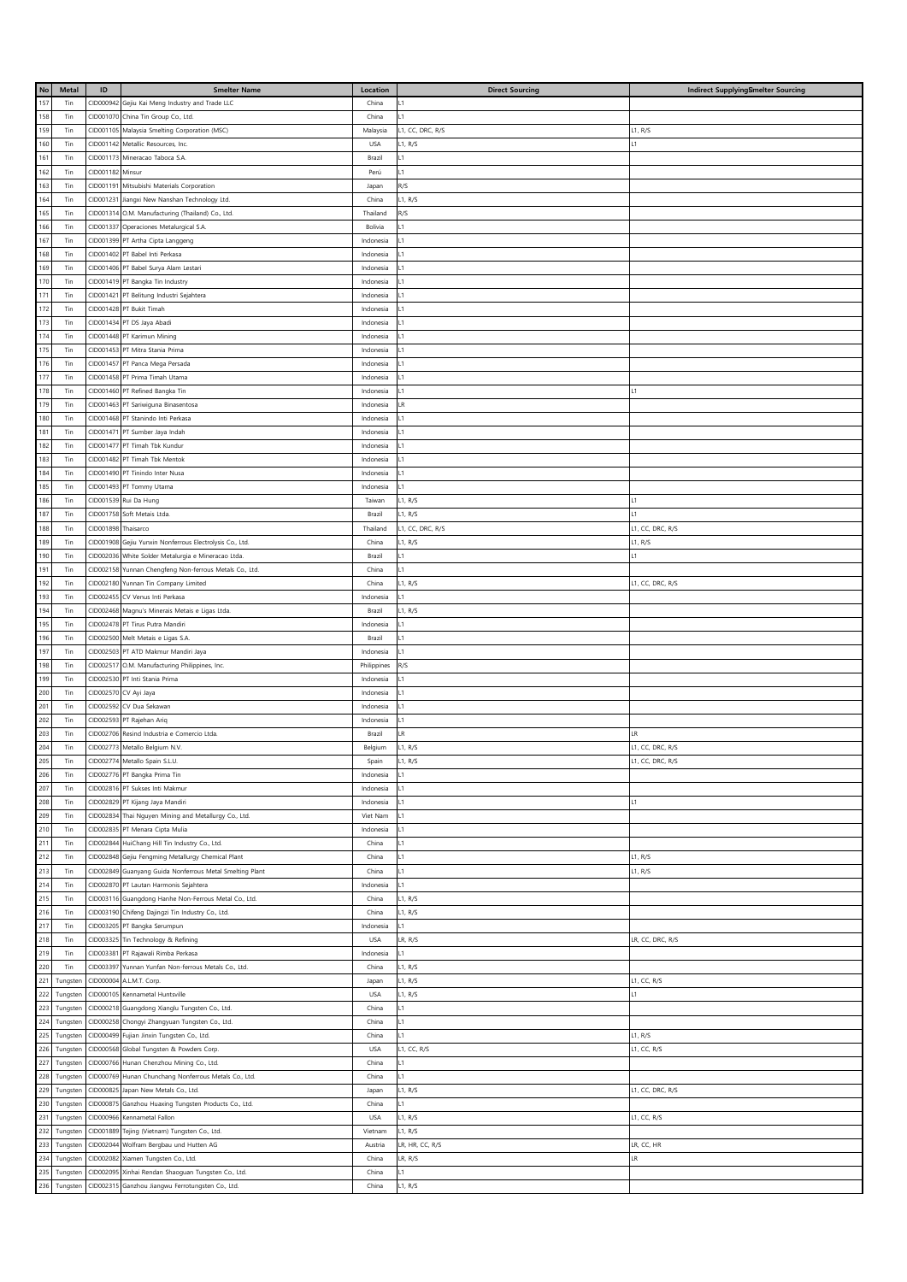| No    | Metal    | $\mathsf{ID}$ | <b>Smelter Name</b>                            | Location    | <b>Direct Sourcing</b> | Indirect SupplyingSmelter Sourcing |
|-------|----------|---------------|------------------------------------------------|-------------|------------------------|------------------------------------|
| 157   | Tin      | CID000942     | Gejiu Kai Meng Industry and Trade LLC          | China       | L1                     |                                    |
| 158   | Tin      | CID001070     | China Tin Group Co., Ltd.                      | China       | 1                      |                                    |
| 159   | Tin      | CID001105     | Malaysia Smelting Corporation (MSC)            | Malaysia    | L1, CC, DRC, R/S       | L1, R/S                            |
| 160   | Tin      | CID001142     | Metallic Resources, Inc.                       | <b>USA</b>  | L1, R/S                | L1                                 |
| 161   | Tin      | CID001173     | Mineracao Taboca S.A.                          | Brazil      | L1                     |                                    |
| 162   | Tin      | CID001182     | Minsur                                         | Perú        | L1                     |                                    |
| 163   | Tin      | CID001191     | Mitsubishi Materials Corporation               | Japan       | R/S                    |                                    |
| 164   | Tin      | CID001231     |                                                | China       | L1, R/S                |                                    |
|       |          |               | Jiangxi New Nanshan Technology Ltd.            |             |                        |                                    |
| 165   | Tin      | CID001314     | O.M. Manufacturing (Thailand) Co., Ltd.        | Thailand    | R/S                    |                                    |
| 166   | Tin      | CID001337     | Operaciones Metalurgical S.A.                  | Bolivia     | L1                     |                                    |
| 167   | Tin      |               | CID001399 PT Artha Cipta Langgeng              | Indonesia   | L1                     |                                    |
| 168   | Tin      |               | CID001402 PT Babel Inti Perkasa                | Indonesia   | L1                     |                                    |
| 169   | Tin      | CID001406     | PT Babel Surya Alam Lestari                    | Indonesia   | L1                     |                                    |
| 170   | Tin      |               | CID001419 PT Bangka Tin Industry               | Indonesia   | L1                     |                                    |
| 171   | Tin      |               | CID001421 PT Belitung Industri Sejahtera       | Indonesia   | L1                     |                                    |
| 172   | Tin      |               | CID001428 PT Bukit Timah                       | Indonesia   | L1                     |                                    |
| 173   | Tin      | CID001434     | PT DS Jaya Abadi                               | Indonesia   | L1                     |                                    |
| 174   | Tin      |               | CID001448 PT Karimun Mining                    | Indonesia   | L1                     |                                    |
| 175   | Tin      | CID001453     | PT Mitra Stania Prima                          | Indonesia   | L1                     |                                    |
| 176   | Tin      | CID001457     | PT Panca Mega Persada                          | Indonesia   | L1                     |                                    |
| 177   | Tin      | CID001458     | PT Prima Timah Utama                           | Indonesia   | L1                     |                                    |
| 178   | Tin      |               | CID001460 PT Refined Bangka Tin                | Indonesia   | L1                     | L1                                 |
| 179   | Tin      |               | CID001463 PT Sariwiguna Binasentosa            | Indonesia   | LR                     |                                    |
| 180   | Tin      |               | CID001468 PT Stanindo Inti Perkasa             | Indonesia   | L1                     |                                    |
| 181   | Tin      | CID001471     | PT Sumber Jaya Indah                           | Indonesia   | L1                     |                                    |
| 182   | Tin      |               | CID001477 PT Timah Tbk Kundur                  | Indonesia   | L1                     |                                    |
|       |          |               |                                                |             |                        |                                    |
| 183   | Tin      | CID001482     | PT Timah Tbk Mentok                            | Indonesia   | L1                     |                                    |
| 184   | Tin      |               | CID001490 PT Tinindo Inter Nusa                | Indonesia   | L1                     |                                    |
| 185   | Tin      |               | CID001493 PT Tommy Utama                       | Indonesia   | L1                     |                                    |
| 186   | Tin      |               | CID001539 Rui Da Hung                          | Taiwan      | L1, R/S                | L1                                 |
| 187   | Tin      | CID001758     | Soft Metais Ltda.                              | Brazil      | L1, R/S                | L1                                 |
| 188   | Tin      | CID001898     | Thaisarco                                      | Thailand    | L1, CC, DRC, R/S       | L1, CC, DRC, R/S                   |
| 189   | Tin      | CID001908     | Gejiu Yunxin Nonferrous Electrolysis Co., Ltd. | China       | L1, R/S                | L1, R/S                            |
| 190   | Tin      | CID002036     | White Solder Metalurgia e Mineracao Ltda.      | Brazil      | $\overline{1}$         | 11                                 |
| 191   | Tin      | CID002158     | Yunnan Chengfeng Non-ferrous Metals Co., Ltd.  | China       | L1                     |                                    |
| 192   | Tin      | CID002180     | Yunnan Tin Company Limited                     | China       | L1, R/S                | L1, CC, DRC, R/S                   |
| 193   | Tin      | CID002455     | CV Venus Inti Perkasa                          | Indonesia   | 1                      |                                    |
| 194   | Tin      | CID002468     | Magnu's Minerais Metais e Ligas Ltda.          | Brazil      | L1, R/S                |                                    |
| 195   | Tin      | CID002478     | PT Tirus Putra Mandiri                         | Indonesia   | 1                      |                                    |
| 196   | Tin      | CID002500     | Melt Metais e Ligas S.A                        | Brazil      | 1                      |                                    |
| 197   | Tin      | CID002503     | PT ATD Makmur Mandiri Jaya                     | Indonesia   | 1                      |                                    |
| 198   | Tin      | CID002517     | O.M. Manufacturing Philippines, Inc.           | Philippines | R/S                    |                                    |
| 199   | Tin      | CID002530     | PT Inti Stania Prima                           | Indonesia   | 1                      |                                    |
| 200   | Tin      | CID002570     |                                                | Indonesia   | 1                      |                                    |
| 201   | Tin      |               | CV Ayi Jaya                                    |             | 1                      |                                    |
| 202   | Tin      | CID002592     | CV Dua Sekawan<br>PT Rajehan Ariq              | Indonesia   | 1                      |                                    |
| 203   |          | CID002593     | Resind Industria e Comercio Ltda.              | Indonesia   | IR.                    | IR.                                |
|       | Tin      | CID002706     |                                                | Brazil      |                        |                                    |
| 204   | Tin      |               | CID002773 Metallo Belgium N.V.                 | Belgium     | L1, R/S                | L1, CC, DRC, R/S                   |
| 205   | Tin      |               | CID002774 Metallo Spain S.L.U.                 | Spain       | L1, R/S                | L1, CC, DRC, R/S                   |
| 206   | Tin      |               | CID002776 PT Bangka Prima Tin                  | Indonesia   | L1                     |                                    |
| 207   | Tin      | CID002816     | PT Sukses Inti Makmur                          | Indonesia   | 1                      |                                    |
| 208   | Tin      | CID002829     | PT Kijang Jaya Mandiri                         | Indonesia   | 1                      | L1                                 |
| 209   | Tin      | CID002834     | Thai Nguyen Mining and Metallurgy Co., Ltd.    | Viet Nam    | 1                      |                                    |
| 210   | Tin      | CID002835     | PT Menara Cipta Mulia                          | Indonesia   | 1                      |                                    |
| 211   | Tin      | CID002844     | HuiChang Hill Tin Industry Co., Ltd.           | China       | 1                      |                                    |
| 212   | Tin      | CID002848     | Gejiu Fengming Metallurgy Chemical Plant       | China       | 1                      | L1, R/S                            |
| 213   | Tin      | CID002849     | Guanyang Guida Nonferrous Metal Smelting Plant | China       | $\overline{1}$         | L1, R/S                            |
| 214   | Tin      | CID002870     | PT Lautan Harmonis Sejahtera                   | Indonesia   | $\overline{1}$         |                                    |
| $215$ | Tin      | CID003116     | Guangdong Hanhe Non-Ferrous Metal Co., Ltd.    | China       | L1, R/S                |                                    |
| 216   | Tin      | CID003190     | Chifeng Dajingzi Tin Industry Co., Ltd.        | China       | L1, R/S                |                                    |
| 217   | Tin      | CID003205     | PT Bangka Serumpun                             | Indonesia   | $\overline{1}$         |                                    |
| 218   | Tin      | CID003325     | Tin Technology & Refining                      | <b>USA</b>  | LR, R/S                | LR, CC, DRC, R/S                   |
| 219   | Tin      | CID003381     | PT Rajawali Rimba Perkasa                      | Indonesia   | 1                      |                                    |
| 220   | Tin      | CID003397     | Yunnan Yunfan Non-ferrous Metals Co., Ltd.     | China       | L1, R/S                |                                    |
| 221   | Tungster | CID000004     | A.L.M.T. Corp.                                 | Japan       | L1, R/S                | L1, CC, R/S                        |
| 222   | Tungster | CID000105     | Kennametal Huntsville                          | <b>USA</b>  | L1, R/S                | L1                                 |
| 223   |          | CID000218     |                                                | China       | $\overline{1}$         |                                    |
| 224   | Tungster |               | Guangdong Xianglu Tungsten Co., Ltd.           |             | $\overline{1}$         |                                    |
|       | Tungster | CID000258     | Chongyi Zhangyuan Tungsten Co., Ltd.           | China       | $\overline{1}$         |                                    |
| 225   | Tungster | CID000499     | Fujian Jinxin Tungsten Co., Ltd.               | China       |                        | L1, R/S                            |
| 226   | Tungster | CID000568     | Global Tungsten & Powders Corp.                | <b>USA</b>  | L1, CC, R/S            | L1, CC, R/S                        |
| 227   | Tungster | CID000766     | Hunan Chenzhou Mining Co., Ltd.                | China       | $\overline{1}$         |                                    |
| 228   | Tungster | CID000769     | Hunan Chunchang Nonferrous Metals Co., Ltd.    | China       | $\overline{1}$         |                                    |
| 229   | Tungster | CID000825     | apan New Metals Co., Ltd.                      | Japan       | L1, R/S                | L1, CC, DRC, R/S                   |
| 230   | Tungster | CID00087      | Ganzhou Huaxing Tungsten Products Co., Ltd.    | China       | L1                     |                                    |
| 231   | Tungster | CID000966     | Kennametal Fallon                              | USA         | L1, R/S                | L1, CC, R/S                        |
| 232   | Tungsten | CID001889     | Tejing (Vietnam) Tungsten Co., Ltd.            | Vietnam     | L1, R/S                |                                    |
| 233   | Tungsten | CID002044     | Wolfram Bergbau und Hutten AG                  | Austria     | LR, HR, CC, R/S        | LR, CC, HR                         |
| 234   | Tungster | CID002082     | Xiamen Tungsten Co., Ltd.                      | China       | LR, R/S                | LR                                 |
| 235   | Tungster | CID002095     | Xinhai Rendan Shaoguan Tungsten Co., Ltd.      | China       | $\overline{1}$         |                                    |
| 236   | Tungsten | CID002315     | Ganzhou Jiangwu Ferrotungsten Co., Ltd.        | China       | L1, R/S                |                                    |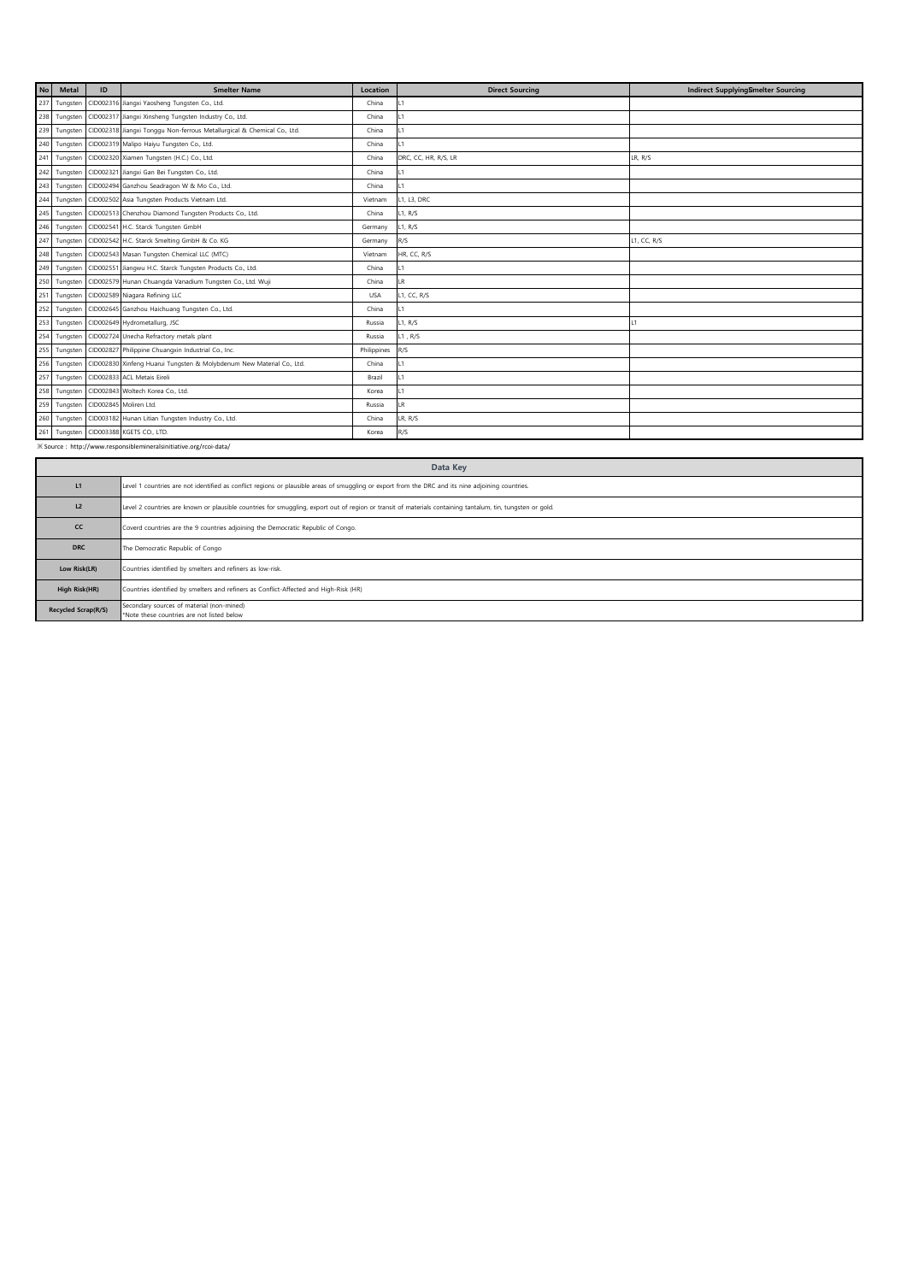| <b>No</b> | <b>Metal</b>                                                      | ID | <b>Smelter Name</b>                                                     | Location    | <b>Direct Sourcing</b> | Indirect SupplyingSmelter Sourcing |  |  |
|-----------|-------------------------------------------------------------------|----|-------------------------------------------------------------------------|-------------|------------------------|------------------------------------|--|--|
| 237       | Tungster                                                          |    | CID002316 Jiangxi Yaosheng Tungsten Co., Ltd.                           | China       | $\overline{11}$        |                                    |  |  |
| 238       | Tungster                                                          |    | CID002317 Jiangxi Xinsheng Tungsten Industry Co., Ltd.                  | China       | $\overline{11}$        |                                    |  |  |
| 239       | Tungster                                                          |    | CID002318 Jiangxi Tonggu Non-ferrous Metallurgical & Chemical Co., Ltd. | China       |                        |                                    |  |  |
|           | 240 Tungsten                                                      |    | CID002319 Malipo Haiyu Tungsten Co., Ltd.                               | China       |                        |                                    |  |  |
| 241       | Tungster                                                          |    | CID002320 Xiamen Tungsten (H.C.) Co., Ltd.                              | China       | DRC, CC, HR, R/S, LR   | LR, R/S                            |  |  |
| 242       | Tungster                                                          |    | CID002321 Jiangxi Gan Bei Tungsten Co., Ltd.                            | China       | L1                     |                                    |  |  |
| 243       | Tungster                                                          |    | CID002494 Ganzhou Seadragon W & Mo Co., Ltd.                            | China       | 11                     |                                    |  |  |
| 244       | Tungster                                                          |    | CID002502 Asia Tungsten Products Vietnam Ltd.                           | Vietnam     | L1, L3, DRC            |                                    |  |  |
| 245       | Tungster                                                          |    | CID002513 Chenzhou Diamond Tungsten Products Co., Ltd.                  | China       | L1, R/S                |                                    |  |  |
| 246       | Tungster                                                          |    | CID002541 H.C. Starck Tungsten GmbH                                     | Germany     | L1, R/S                |                                    |  |  |
|           | 247 Tungsten                                                      |    | CID002542 H.C. Starck Smelting GmbH & Co. KG                            | Germany     | R/S                    | L1, CC, R/S                        |  |  |
| 248       | Tungsten                                                          |    | CID002543 Masan Tungsten Chemical LLC (MTC)                             | Vietnam     | HR, CC, R/S            |                                    |  |  |
| 249       | Tungster                                                          |    | CID002551 Jiangwu H.C. Starck Tungsten Products Co., Ltd.               | China       | L1                     |                                    |  |  |
| 250       | Tungster                                                          |    | CID002579 Hunan Chuangda Vanadium Tungsten Co., Ltd. Wuji               | China       | LR.                    |                                    |  |  |
|           | 251 Tungsten                                                      |    | CID002589 Niagara Refining LLC                                          | USA         | L1, CC, R/S            |                                    |  |  |
| 252       | Tungsten                                                          |    | CID002645 Ganzhou Haichuang Tungsten Co., Ltd.                          | China       | $\overline{11}$        |                                    |  |  |
| 253       | Tungster                                                          |    | CID002649 Hydrometallurg, JSC                                           | Russia      | L1, R/S                |                                    |  |  |
| 254       | Tungster                                                          |    | CID002724 Unecha Refractory metals plant                                | Russia      | L1, R/S                |                                    |  |  |
| 255       | Tungster                                                          |    | CID002827 Philippine Chuangxin Industrial Co., Inc.                     | Philippines | R/S                    |                                    |  |  |
| 256       | Tungster                                                          |    | CID002830 Xinfeng Huarui Tungsten & Molybdenum New Material Co., Ltd.   | China       | L1                     |                                    |  |  |
| 257       | Tungster                                                          |    | CID002833 ACL Metais Eireli                                             | Brazil      | $\overline{11}$        |                                    |  |  |
|           | 258 Tungsten                                                      |    | CID002843 Woltech Korea Co., Ltd.                                       | Korea       | $\overline{11}$        |                                    |  |  |
| 259       | Tungsten                                                          |    | CID002845 Moliren Ltd.                                                  | Russia      | LR.                    |                                    |  |  |
| 260       | Tungsten                                                          |    | CID003182 Hunan Litian Tungsten Industry Co., Ltd.                      | China       | LR, R/S                |                                    |  |  |
| 261       | Tungsten                                                          |    | CID003388 KGETS CO., LTD.                                               | Korea       | R/S                    |                                    |  |  |
|           | ※ Source: http://www.responsiblemineralsinitiative.org/rcoi-data/ |    |                                                                         |             |                        |                                    |  |  |

|                                                                                                                                                                              | Data Key                                                                                |  |  |  |  |  |
|------------------------------------------------------------------------------------------------------------------------------------------------------------------------------|-----------------------------------------------------------------------------------------|--|--|--|--|--|
| L1<br>Level 1 countries are not identified as conflict regions or plausible areas of smuggling or export from the DRC and its nine adjoining countries.                      |                                                                                         |  |  |  |  |  |
| L <sub>2</sub><br>Level 2 countries are known or plausible countries for smuggling, export out of region or transit of materials containing tantalum, tin, tungsten or gold. |                                                                                         |  |  |  |  |  |
| <b>CC</b><br>Coverd countries are the 9 countries adjoining the Democratic Republic of Congo.                                                                                |                                                                                         |  |  |  |  |  |
| <b>DRC</b>                                                                                                                                                                   | The Democratic Republic of Congo                                                        |  |  |  |  |  |
| Low Risk(LR)                                                                                                                                                                 | Countries identified by smelters and refiners as low-risk.                              |  |  |  |  |  |
| High Risk(HR)                                                                                                                                                                | Countries identified by smelters and refiners as Conflict-Affected and High-Risk (HR)   |  |  |  |  |  |
| Recycled Scrap(R/S)                                                                                                                                                          | Secondary sources of material (non-mined)<br>*Note these countries are not listed below |  |  |  |  |  |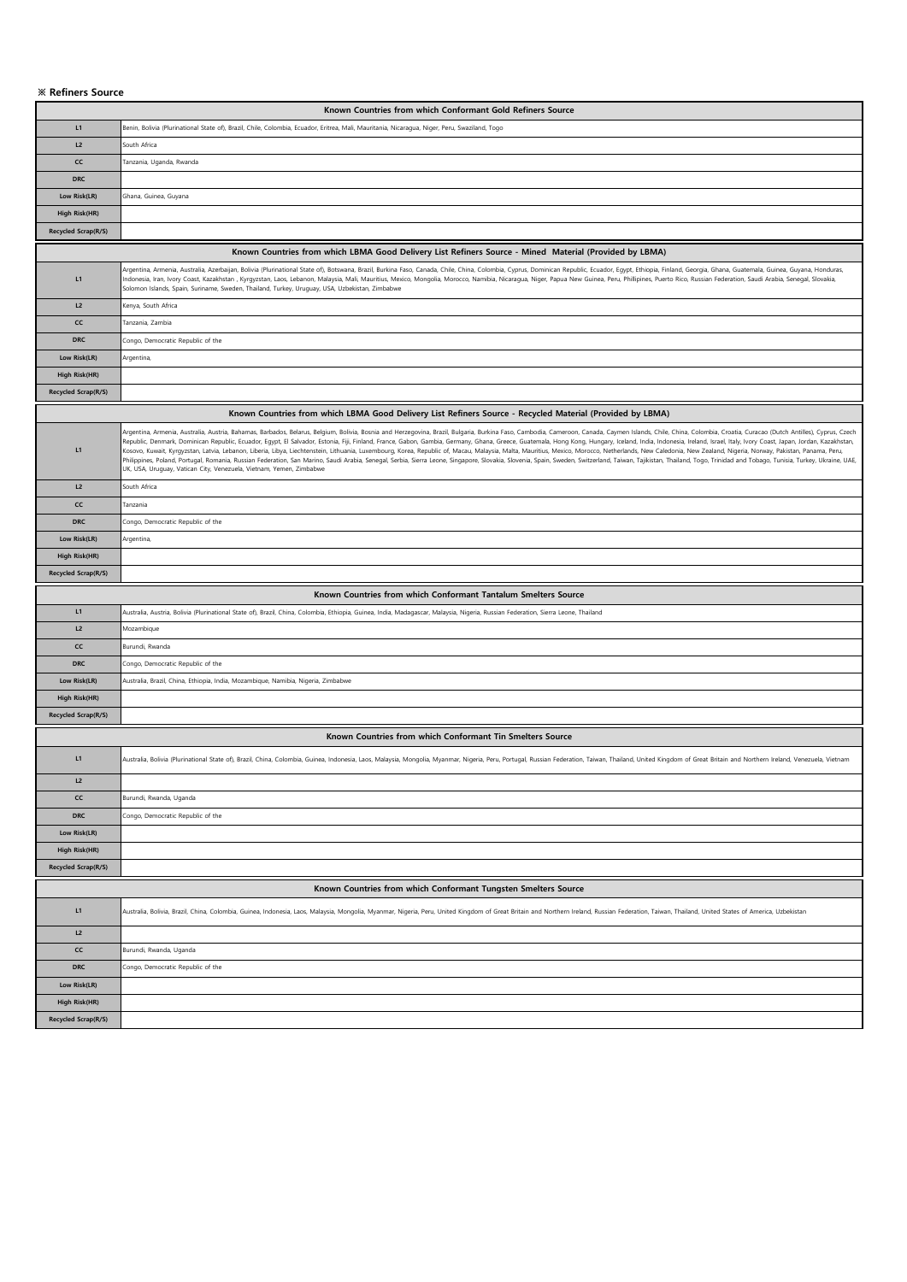## **※ Refiners Source**

| Known Countries from which Conformant Gold Refiners Source                                                                                                                                                                     |                                                                                                                                                                                                                                                                                                                                                                                                                                                                                                                                                                                                                                                                                                                                                                                                                                                                                                                                                                                                             |  |  |  |  |
|--------------------------------------------------------------------------------------------------------------------------------------------------------------------------------------------------------------------------------|-------------------------------------------------------------------------------------------------------------------------------------------------------------------------------------------------------------------------------------------------------------------------------------------------------------------------------------------------------------------------------------------------------------------------------------------------------------------------------------------------------------------------------------------------------------------------------------------------------------------------------------------------------------------------------------------------------------------------------------------------------------------------------------------------------------------------------------------------------------------------------------------------------------------------------------------------------------------------------------------------------------|--|--|--|--|
| L1                                                                                                                                                                                                                             | Benin, Bolivia (Plurinational State of), Brazil, Chile, Colombia, Ecuador, Eritrea, Mali, Mauritania, Nicaragua, Niger, Peru, Swaziland, Togo                                                                                                                                                                                                                                                                                                                                                                                                                                                                                                                                                                                                                                                                                                                                                                                                                                                               |  |  |  |  |
| L2                                                                                                                                                                                                                             | South Africa                                                                                                                                                                                                                                                                                                                                                                                                                                                                                                                                                                                                                                                                                                                                                                                                                                                                                                                                                                                                |  |  |  |  |
| <b>CC</b>                                                                                                                                                                                                                      | Fanzania, Uganda, Rwanda                                                                                                                                                                                                                                                                                                                                                                                                                                                                                                                                                                                                                                                                                                                                                                                                                                                                                                                                                                                    |  |  |  |  |
| <b>DRC</b>                                                                                                                                                                                                                     |                                                                                                                                                                                                                                                                                                                                                                                                                                                                                                                                                                                                                                                                                                                                                                                                                                                                                                                                                                                                             |  |  |  |  |
| Low Risk(LR)                                                                                                                                                                                                                   | Ghana, Guinea, Guyana                                                                                                                                                                                                                                                                                                                                                                                                                                                                                                                                                                                                                                                                                                                                                                                                                                                                                                                                                                                       |  |  |  |  |
| High Risk(HR)                                                                                                                                                                                                                  |                                                                                                                                                                                                                                                                                                                                                                                                                                                                                                                                                                                                                                                                                                                                                                                                                                                                                                                                                                                                             |  |  |  |  |
| Recycled Scrap(R/S)                                                                                                                                                                                                            |                                                                                                                                                                                                                                                                                                                                                                                                                                                                                                                                                                                                                                                                                                                                                                                                                                                                                                                                                                                                             |  |  |  |  |
|                                                                                                                                                                                                                                | Known Countries from which LBMA Good Delivery List Refiners Source - Mined Material (Provided by LBMA)                                                                                                                                                                                                                                                                                                                                                                                                                                                                                                                                                                                                                                                                                                                                                                                                                                                                                                      |  |  |  |  |
| Argentina, Amenia, Australia, Azerbaijan, Bolivia (Plurinational State of), Botswana, Brazil, Burkina Faso, Canada, Chile, China, Colombia, Cyprus, Dominican Republic, Ecuador, Egypt, Ethiopia, Finland, Georgia, Ghana, Gua |                                                                                                                                                                                                                                                                                                                                                                                                                                                                                                                                                                                                                                                                                                                                                                                                                                                                                                                                                                                                             |  |  |  |  |
| L1                                                                                                                                                                                                                             | Indonesia, Iran, Ivory Coast, Kazakhstan , Kyrgyzstan, Laos, Lebanon, Malaysia, Mali, Mauritius, Mexico, Mongolia, Morocco, Namibia, Nicaragua, Niger, Papua New Guinea, Peru, Phillipines, Puerto Rico, Russian Federation, S<br>Solomon Islands, Spain, Suriname, Sweden, Thailand, Turkey, Uruguay, USA, Uzbekistan, Zimbabwe                                                                                                                                                                                                                                                                                                                                                                                                                                                                                                                                                                                                                                                                            |  |  |  |  |
| L2                                                                                                                                                                                                                             | Kenya, South Africa                                                                                                                                                                                                                                                                                                                                                                                                                                                                                                                                                                                                                                                                                                                                                                                                                                                                                                                                                                                         |  |  |  |  |
| cc                                                                                                                                                                                                                             | <b>Fanzania</b> , Zambia                                                                                                                                                                                                                                                                                                                                                                                                                                                                                                                                                                                                                                                                                                                                                                                                                                                                                                                                                                                    |  |  |  |  |
| <b>DRC</b>                                                                                                                                                                                                                     | Congo, Democratic Republic of the                                                                                                                                                                                                                                                                                                                                                                                                                                                                                                                                                                                                                                                                                                                                                                                                                                                                                                                                                                           |  |  |  |  |
| Low Risk(LR)                                                                                                                                                                                                                   | Argentina,                                                                                                                                                                                                                                                                                                                                                                                                                                                                                                                                                                                                                                                                                                                                                                                                                                                                                                                                                                                                  |  |  |  |  |
| <b>High Risk(HR)</b>                                                                                                                                                                                                           |                                                                                                                                                                                                                                                                                                                                                                                                                                                                                                                                                                                                                                                                                                                                                                                                                                                                                                                                                                                                             |  |  |  |  |
| Recycled Scrap(R/S)                                                                                                                                                                                                            |                                                                                                                                                                                                                                                                                                                                                                                                                                                                                                                                                                                                                                                                                                                                                                                                                                                                                                                                                                                                             |  |  |  |  |
|                                                                                                                                                                                                                                | Known Countries from which LBMA Good Delivery List Refiners Source - Recycled Material (Provided by LBMA)                                                                                                                                                                                                                                                                                                                                                                                                                                                                                                                                                                                                                                                                                                                                                                                                                                                                                                   |  |  |  |  |
| L1                                                                                                                                                                                                                             | Argentina, Amenia, Australia, Austria, Bahamas, Barbados, Belarus, Belgium, Bolivia, Bosnia and Herzegovina, Brazil, Bulgaria, Bukina Faso, Cambodia, Cameroon, Canada, Caymen Islands, Chile, China, Colombia, Croatia, Curac<br>Republic, Denmark, Dominican Republic, Ecuador, Egypt, El Salvador, Estonia, Fiji, Finland, France, Gabon, Gambia, Germany, Ghana, Greece, Guatemala, Hong Kong, Hungary, Iceland, India, Indonesia, Ireland, Israel, Italy, I<br>Kosovo, Kuwait, Kyrgyzstan, Latvia, Lebanon, Liberia, Libya, Liechtenstein, Lithuania, Luxembourg, Korea, Republic of, Macau, Malaysia, Malta, Mauritius, Mexico, Morocco, Netherlands, New Caledonia, New Zealand, Nigeria, N<br>Philippines, Poland, Portugal, Romania, Russian Federation, San Marino, Saudi Arabia, Senegal, Serbia, Sierra Leone, Singapore, Slovakia, Slovenia, Spain, Sweden, Switzerland, Taiwan, Tajikistan, Thailand, Togo, Trinidad a<br>UK, USA, Uruguay, Vatican City, Venezuela, Vietnam, Yemen, Zimbabwe |  |  |  |  |
| L <sub>2</sub>                                                                                                                                                                                                                 | South Africa                                                                                                                                                                                                                                                                                                                                                                                                                                                                                                                                                                                                                                                                                                                                                                                                                                                                                                                                                                                                |  |  |  |  |
| cc                                                                                                                                                                                                                             | Tanzania                                                                                                                                                                                                                                                                                                                                                                                                                                                                                                                                                                                                                                                                                                                                                                                                                                                                                                                                                                                                    |  |  |  |  |
| <b>DRC</b>                                                                                                                                                                                                                     | Congo, Democratic Republic of the                                                                                                                                                                                                                                                                                                                                                                                                                                                                                                                                                                                                                                                                                                                                                                                                                                                                                                                                                                           |  |  |  |  |
| Low Risk(LR)                                                                                                                                                                                                                   | Argentina,                                                                                                                                                                                                                                                                                                                                                                                                                                                                                                                                                                                                                                                                                                                                                                                                                                                                                                                                                                                                  |  |  |  |  |
| High Risk(HR)                                                                                                                                                                                                                  |                                                                                                                                                                                                                                                                                                                                                                                                                                                                                                                                                                                                                                                                                                                                                                                                                                                                                                                                                                                                             |  |  |  |  |
| Recycled Scrap(R/S)                                                                                                                                                                                                            |                                                                                                                                                                                                                                                                                                                                                                                                                                                                                                                                                                                                                                                                                                                                                                                                                                                                                                                                                                                                             |  |  |  |  |
|                                                                                                                                                                                                                                | Known Countries from which Conformant Tantalum Smelters Source                                                                                                                                                                                                                                                                                                                                                                                                                                                                                                                                                                                                                                                                                                                                                                                                                                                                                                                                              |  |  |  |  |
| L1                                                                                                                                                                                                                             | Australia, Austria, Bolivia (Plurinational State of), Brazil, China, Colombia, Ethiopia, Guinea, India, Madagascar, Malaysia, Nigeria, Russian Federation, Sierra Leone, Thailand                                                                                                                                                                                                                                                                                                                                                                                                                                                                                                                                                                                                                                                                                                                                                                                                                           |  |  |  |  |
| L <sub>2</sub>                                                                                                                                                                                                                 | Mozambique                                                                                                                                                                                                                                                                                                                                                                                                                                                                                                                                                                                                                                                                                                                                                                                                                                                                                                                                                                                                  |  |  |  |  |
| CC                                                                                                                                                                                                                             | Burundi, Rwanda                                                                                                                                                                                                                                                                                                                                                                                                                                                                                                                                                                                                                                                                                                                                                                                                                                                                                                                                                                                             |  |  |  |  |
| <b>DRC</b>                                                                                                                                                                                                                     | Congo, Democratic Republic of the                                                                                                                                                                                                                                                                                                                                                                                                                                                                                                                                                                                                                                                                                                                                                                                                                                                                                                                                                                           |  |  |  |  |
| Low Risk(LR)                                                                                                                                                                                                                   | Australia, Brazil, China, Ethiopia, India, Mozambique, Namibia, Nigeria, Zimbabwe                                                                                                                                                                                                                                                                                                                                                                                                                                                                                                                                                                                                                                                                                                                                                                                                                                                                                                                           |  |  |  |  |
| High Risk(HR)                                                                                                                                                                                                                  |                                                                                                                                                                                                                                                                                                                                                                                                                                                                                                                                                                                                                                                                                                                                                                                                                                                                                                                                                                                                             |  |  |  |  |
| Recycled Scrap(R/S)                                                                                                                                                                                                            |                                                                                                                                                                                                                                                                                                                                                                                                                                                                                                                                                                                                                                                                                                                                                                                                                                                                                                                                                                                                             |  |  |  |  |
|                                                                                                                                                                                                                                |                                                                                                                                                                                                                                                                                                                                                                                                                                                                                                                                                                                                                                                                                                                                                                                                                                                                                                                                                                                                             |  |  |  |  |
|                                                                                                                                                                                                                                | Known Countries from which Conformant Tin Smelters Source                                                                                                                                                                                                                                                                                                                                                                                                                                                                                                                                                                                                                                                                                                                                                                                                                                                                                                                                                   |  |  |  |  |
| L1                                                                                                                                                                                                                             | Australia, Bolivia (Plurinational State of), Brazil, China, Colombia, Guinea, Indonesia, Laos, Malaysia, Mongolia, Myanmar, Nigeria, Peru, Portugal, Russian Federation, Taiwan, Thailand, United Kingdom of Great Britain and                                                                                                                                                                                                                                                                                                                                                                                                                                                                                                                                                                                                                                                                                                                                                                              |  |  |  |  |
| L2                                                                                                                                                                                                                             |                                                                                                                                                                                                                                                                                                                                                                                                                                                                                                                                                                                                                                                                                                                                                                                                                                                                                                                                                                                                             |  |  |  |  |
| cc                                                                                                                                                                                                                             | Burundi, Rwanda, Uganda                                                                                                                                                                                                                                                                                                                                                                                                                                                                                                                                                                                                                                                                                                                                                                                                                                                                                                                                                                                     |  |  |  |  |
| <b>DRC</b>                                                                                                                                                                                                                     | Congo, Democratic Republic of the                                                                                                                                                                                                                                                                                                                                                                                                                                                                                                                                                                                                                                                                                                                                                                                                                                                                                                                                                                           |  |  |  |  |
| Low Risk(LR)                                                                                                                                                                                                                   |                                                                                                                                                                                                                                                                                                                                                                                                                                                                                                                                                                                                                                                                                                                                                                                                                                                                                                                                                                                                             |  |  |  |  |
| High Risk(HR)                                                                                                                                                                                                                  |                                                                                                                                                                                                                                                                                                                                                                                                                                                                                                                                                                                                                                                                                                                                                                                                                                                                                                                                                                                                             |  |  |  |  |
| Recycled Scrap(R/S)                                                                                                                                                                                                            |                                                                                                                                                                                                                                                                                                                                                                                                                                                                                                                                                                                                                                                                                                                                                                                                                                                                                                                                                                                                             |  |  |  |  |
|                                                                                                                                                                                                                                |                                                                                                                                                                                                                                                                                                                                                                                                                                                                                                                                                                                                                                                                                                                                                                                                                                                                                                                                                                                                             |  |  |  |  |
| L1                                                                                                                                                                                                                             | Known Countries from which Conformant Tungsten Smelters Source<br>Australia, Bolivia, Brazil, China, Colombia, Guinea, Indonesia, Laos, Malaysia, Mongolia, Myanmar, Nigeria, Peru, United Kingdom of Great Britain and Northern Ireland, Russian Federation, Taiwan, Thailand, United States of                                                                                                                                                                                                                                                                                                                                                                                                                                                                                                                                                                                                                                                                                                            |  |  |  |  |
| L <sub>2</sub>                                                                                                                                                                                                                 |                                                                                                                                                                                                                                                                                                                                                                                                                                                                                                                                                                                                                                                                                                                                                                                                                                                                                                                                                                                                             |  |  |  |  |
| cc                                                                                                                                                                                                                             | Burundi, Rwanda, Uganda                                                                                                                                                                                                                                                                                                                                                                                                                                                                                                                                                                                                                                                                                                                                                                                                                                                                                                                                                                                     |  |  |  |  |
| <b>DRC</b>                                                                                                                                                                                                                     | Congo, Democratic Republic of the                                                                                                                                                                                                                                                                                                                                                                                                                                                                                                                                                                                                                                                                                                                                                                                                                                                                                                                                                                           |  |  |  |  |
| Low Risk(LR)                                                                                                                                                                                                                   |                                                                                                                                                                                                                                                                                                                                                                                                                                                                                                                                                                                                                                                                                                                                                                                                                                                                                                                                                                                                             |  |  |  |  |
| High Risk(HR)                                                                                                                                                                                                                  |                                                                                                                                                                                                                                                                                                                                                                                                                                                                                                                                                                                                                                                                                                                                                                                                                                                                                                                                                                                                             |  |  |  |  |